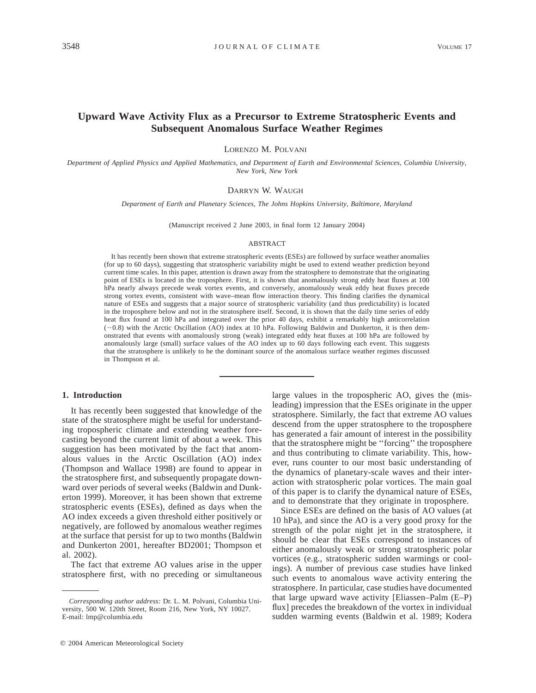# **Upward Wave Activity Flux as a Precursor to Extreme Stratospheric Events and Subsequent Anomalous Surface Weather Regimes**

LORENZO M. POLVANI

*Department of Applied Physics and Applied Mathematics, and Department of Earth and Environmental Sciences, Columbia University, New York, New York*

#### DARRYN W. WAUGH

*Department of Earth and Planetary Sciences, The Johns Hopkins University, Baltimore, Maryland*

(Manuscript received 2 June 2003, in final form 12 January 2004)

#### ABSTRACT

It has recently been shown that extreme stratospheric events (ESEs) are followed by surface weather anomalies (for up to 60 days), suggesting that stratospheric variability might be used to extend weather prediction beyond current time scales. In this paper, attention is drawn away from the stratosphere to demonstrate that the originating point of ESEs is located in the troposphere. First, it is shown that anomalously strong eddy heat fluxes at 100 hPa nearly always precede weak vortex events, and conversely, anomalously weak eddy heat fluxes precede strong vortex events, consistent with wave–mean flow interaction theory. This finding clarifies the dynamical nature of ESEs and suggests that a major source of stratospheric variability (and thus predictability) is located in the troposphere below and not in the stratosphere itself. Second, it is shown that the daily time series of eddy heat flux found at 100 hPa and integrated over the prior 40 days, exhibit a remarkably high anticorrelation (20.8) with the Arctic Oscillation (AO) index at 10 hPa. Following Baldwin and Dunkerton, it is then demonstrated that events with anomalously strong (weak) integrated eddy heat fluxes at 100 hPa are followed by anomalously large (small) surface values of the AO index up to 60 days following each event. This suggests that the stratosphere is unlikely to be the dominant source of the anomalous surface weather regimes discussed in Thompson et al.

### **1. Introduction**

It has recently been suggested that knowledge of the state of the stratosphere might be useful for understanding tropospheric climate and extending weather forecasting beyond the current limit of about a week. This suggestion has been motivated by the fact that anomalous values in the Arctic Oscillation (AO) index (Thompson and Wallace 1998) are found to appear in the stratosphere first, and subsequently propagate downward over periods of several weeks (Baldwin and Dunkerton 1999). Moreover, it has been shown that extreme stratospheric events (ESEs), defined as days when the AO index exceeds a given threshold either positively or negatively, are followed by anomalous weather regimes at the surface that persist for up to two months (Baldwin and Dunkerton 2001, hereafter BD2001; Thompson et al. 2002).

The fact that extreme AO values arise in the upper stratosphere first, with no preceding or simultaneous

large values in the tropospheric AO, gives the (misleading) impression that the ESEs originate in the upper stratosphere. Similarly, the fact that extreme AO values descend from the upper stratosphere to the troposphere has generated a fair amount of interest in the possibility that the stratosphere might be ''forcing'' the troposphere and thus contributing to climate variability. This, however, runs counter to our most basic understanding of the dynamics of planetary-scale waves and their interaction with stratospheric polar vortices. The main goal of this paper is to clarify the dynamical nature of ESEs, and to demonstrate that they originate in troposphere.

Since ESEs are defined on the basis of AO values (at 10 hPa), and since the AO is a very good proxy for the strength of the polar night jet in the stratosphere, it should be clear that ESEs correspond to instances of either anomalously weak or strong stratospheric polar vortices (e.g., stratospheric sudden warmings or coolings). A number of previous case studies have linked such events to anomalous wave activity entering the stratosphere. In particular, case studies have documented that large upward wave activity [Eliassen–Palm (E–P) flux] precedes the breakdown of the vortex in individual sudden warming events (Baldwin et al. 1989; Kodera

*Corresponding author address:* Dr. L. M. Polvani, Columbia University, 500 W. 120th Street, Room 216, New York, NY 10027. E-mail: lmp@columbia.edu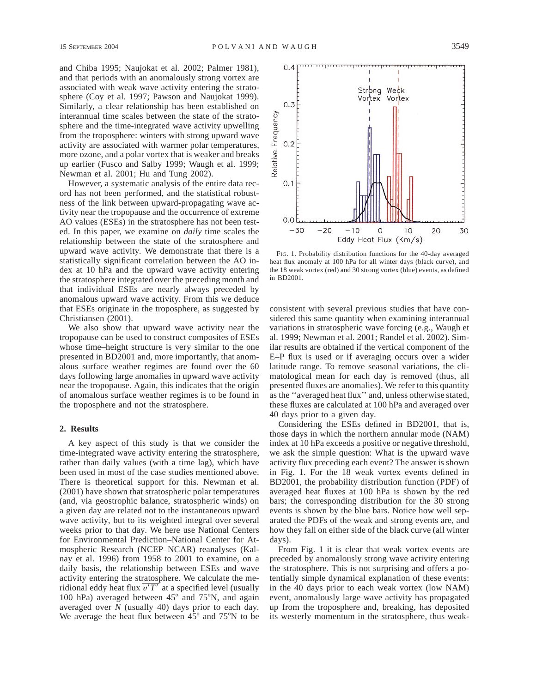and Chiba 1995; Naujokat et al. 2002; Palmer 1981), and that periods with an anomalously strong vortex are associated with weak wave activity entering the stratosphere (Coy et al. 1997; Pawson and Naujokat 1999). Similarly, a clear relationship has been established on interannual time scales between the state of the stratosphere and the time-integrated wave activity upwelling from the troposphere: winters with strong upward wave activity are associated with warmer polar temperatures, more ozone, and a polar vortex that is weaker and breaks up earlier (Fusco and Salby 1999; Waugh et al. 1999; Newman et al. 2001; Hu and Tung 2002).

However, a systematic analysis of the entire data record has not been performed, and the statistical robustness of the link between upward-propagating wave activity near the tropopause and the occurrence of extreme AO values (ESEs) in the stratosphere has not been tested. In this paper, we examine on *daily* time scales the relationship between the state of the stratosphere and upward wave activity. We demonstrate that there is a statistically significant correlation between the AO index at 10 hPa and the upward wave activity entering the stratosphere integrated over the preceding month and that individual ESEs are nearly always preceded by anomalous upward wave activity. From this we deduce that ESEs originate in the troposphere, as suggested by Christiansen (2001).

We also show that upward wave activity near the tropopause can be used to construct composites of ESEs whose time–height structure is very similar to the one presented in BD2001 and, more importantly, that anomalous surface weather regimes are found over the 60 days following large anomalies in upward wave activity near the tropopause. Again, this indicates that the origin of anomalous surface weather regimes is to be found in the troposphere and not the stratosphere.

## **2. Results**

A key aspect of this study is that we consider the time-integrated wave activity entering the stratosphere, rather than daily values (with a time lag), which have been used in most of the case studies mentioned above. There is theoretical support for this. Newman et al. (2001) have shown that stratospheric polar temperatures (and, via geostrophic balance, stratospheric winds) on a given day are related not to the instantaneous upward wave activity, but to its weighted integral over several weeks prior to that day. We here use National Centers for Environmental Prediction–National Center for Atmospheric Research (NCEP–NCAR) reanalyses (Kalnay et al. 1996) from 1958 to 2001 to examine, on a daily basis, the relationship between ESEs and wave activity entering the stratosphere. We calculate the meridional eddy heat flux  $\overline{v'T'}$  at a specified level (usually 100 hPa) averaged between  $45^{\circ}$  and  $75^{\circ}$ N, and again averaged over *N* (usually 40) days prior to each day. We average the heat flux between  $45^{\circ}$  and  $75^{\circ}$ N to be



FIG. 1. Probability distribution functions for the 40-day averaged heat flux anomaly at 100 hPa for all winter days (black curve), and the 18 weak vortex (red) and 30 strong vortex (blue) events, as defined in BD2001.

consistent with several previous studies that have considered this same quantity when examining interannual variations in stratospheric wave forcing (e.g., Waugh et al. 1999; Newman et al. 2001; Randel et al. 2002). Similar results are obtained if the vertical component of the E–P flux is used or if averaging occurs over a wider latitude range. To remove seasonal variations, the climatological mean for each day is removed (thus, all presented fluxes are anomalies). We refer to this quantity as the ''averaged heat flux'' and, unless otherwise stated, these fluxes are calculated at 100 hPa and averaged over 40 days prior to a given day.

Considering the ESEs defined in BD2001, that is, those days in which the northern annular mode (NAM) index at 10 hPa exceeds a positive or negative threshold, we ask the simple question: What is the upward wave activity flux preceding each event? The answer is shown in Fig. 1. For the 18 weak vortex events defined in BD2001, the probability distribution function (PDF) of averaged heat fluxes at 100 hPa is shown by the red bars; the corresponding distribution for the 30 strong events is shown by the blue bars. Notice how well separated the PDFs of the weak and strong events are, and how they fall on either side of the black curve (all winter days).

From Fig. 1 it is clear that weak vortex events are preceded by anomalously strong wave activity entering the stratosphere. This is not surprising and offers a potentially simple dynamical explanation of these events: in the 40 days prior to each weak vortex (low NAM) event, anomalously large wave activity has propagated up from the troposphere and, breaking, has deposited its westerly momentum in the stratosphere, thus weak-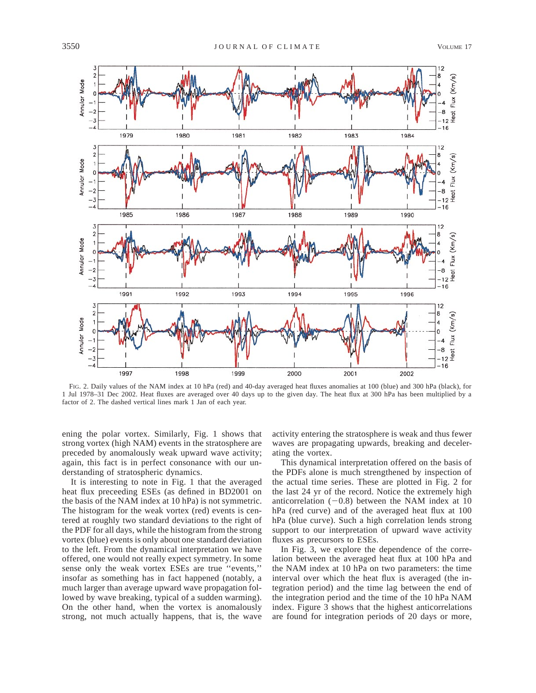

FIG. 2. Daily values of the NAM index at 10 hPa (red) and 40-day averaged heat fluxes anomalies at 100 (blue) and 300 hPa (black), for 1 Jul 1978–31 Dec 2002. Heat fluxes are averaged over 40 days up to the given day. The heat flux at 300 hPa has been multiplied by a factor of 2. The dashed vertical lines mark 1 Jan of each year.

ening the polar vortex. Similarly, Fig. 1 shows that strong vortex (high NAM) events in the stratosphere are preceded by anomalously weak upward wave activity; again, this fact is in perfect consonance with our understanding of stratospheric dynamics.

It is interesting to note in Fig. 1 that the averaged heat flux preceeding ESEs (as defined in BD2001 on the basis of the NAM index at 10 hPa) is not symmetric. The histogram for the weak vortex (red) events is centered at roughly two standard deviations to the right of the PDF for all days, while the histogram from the strong vortex (blue) events is only about one standard deviation to the left. From the dynamical interpretation we have offered, one would not really expect symmetry. In some sense only the weak vortex ESEs are true ''events,'' insofar as something has in fact happened (notably, a much larger than average upward wave propagation followed by wave breaking, typical of a sudden warming). On the other hand, when the vortex is anomalously strong, not much actually happens, that is, the wave activity entering the stratosphere is weak and thus fewer waves are propagating upwards, breaking and decelerating the vortex.

This dynamical interpretation offered on the basis of the PDFs alone is much strengthened by inspection of the actual time series. These are plotted in Fig. 2 for the last 24 yr of the record. Notice the extremely high anticorrelation  $(-0.8)$  between the NAM index at 10 hPa (red curve) and of the averaged heat flux at 100 hPa (blue curve). Such a high correlation lends strong support to our interpretation of upward wave activity fluxes as precursors to ESEs.

In Fig. 3, we explore the dependence of the correlation between the averaged heat flux at 100 hPa and the NAM index at 10 hPa on two parameters: the time interval over which the heat flux is averaged (the integration period) and the time lag between the end of the integration period and the time of the 10 hPa NAM index. Figure 3 shows that the highest anticorrelations are found for integration periods of 20 days or more,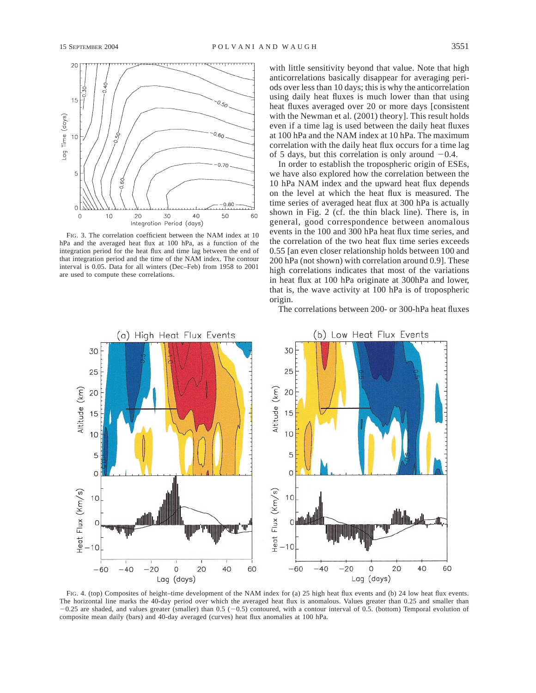

FIG. 3. The correlation coefficient between the NAM index at 10 hPa and the averaged heat flux at 100 hPa, as a function of the integration period for the heat flux and time lag between the end of that integration period and the time of the NAM index. The contour interval is 0.05. Data for all winters (Dec–Feb) from 1958 to 2001 are used to compute these correlations.

with little sensitivity beyond that value. Note that high anticorrelations basically disappear for averaging periods over less than 10 days; this is why the anticorrelation using daily heat fluxes is much lower than that using heat fluxes averaged over 20 or more days [consistent with the Newman et al. (2001) theory]. This result holds even if a time lag is used between the daily heat fluxes at 100 hPa and the NAM index at 10 hPa. The maximum correlation with the daily heat flux occurs for a time lag of 5 days, but this correlation is only around  $-0.4$ .

In order to establish the tropospheric origin of ESEs, we have also explored how the correlation between the 10 hPa NAM index and the upward heat flux depends on the level at which the heat flux is measured. The time series of averaged heat flux at 300 hPa is actually shown in Fig. 2 (cf. the thin black line). There is, in general, good correspondence between anomalous events in the 100 and 300 hPa heat flux time series, and the correlation of the two heat flux time series exceeds 0.55 [an even closer relationship holds between 100 and 200 hPa (not shown) with correlation around 0.9]. These high correlations indicates that most of the variations in heat flux at 100 hPa originate at 300hPa and lower, that is, the wave activity at 100 hPa is of tropospheric origin.

The correlations between 200- or 300-hPa heat fluxes



FIG. 4. (top) Composites of height–time development of the NAM index for (a) 25 high heat flux events and (b) 24 low heat flux events. The horizontal line marks the 40-day period over which the averaged heat flux is anomalous. Values greater than 0.25 and smaller than  $-0.25$  are shaded, and values greater (smaller) than  $0.5$  ( $-0.5$ ) contoured, with a contour interval of 0.5. (bottom) Temporal evolution of composite mean daily (bars) and 40-day averaged (curves) heat flux anomalies at 100 hPa.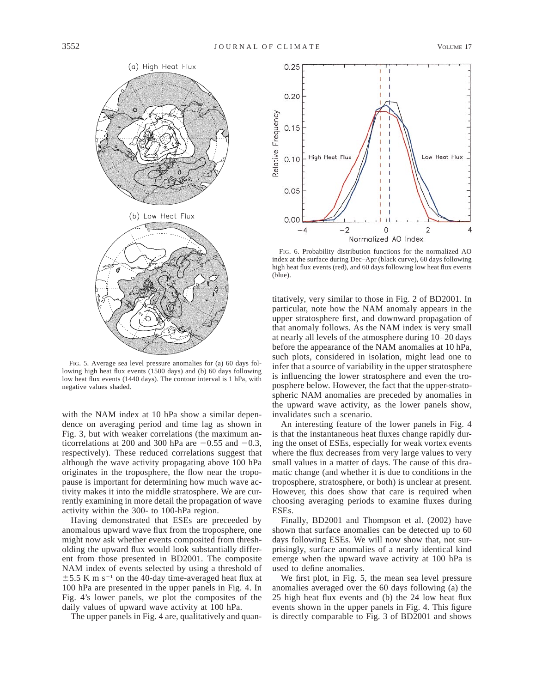

FIG. 5. Average sea level pressure anomalies for (a) 60 days following high heat flux events (1500 days) and (b) 60 days following low heat flux events (1440 days). The contour interval is 1 hPa, with negative values shaded.

with the NAM index at 10 hPa show a similar dependence on averaging period and time lag as shown in Fig. 3, but with weaker correlations (the maximum anticorrelations at 200 and 300 hPa are  $-0.55$  and  $-0.3$ , respectively). These reduced correlations suggest that although the wave activity propagating above 100 hPa originates in the troposphere, the flow near the tropopause is important for determining how much wave activity makes it into the middle stratosphere. We are currently examining in more detail the propagation of wave activity within the 300- to 100-hPa region.

Having demonstrated that ESEs are preceeded by anomalous upward wave flux from the troposphere, one might now ask whether events composited from thresholding the upward flux would look substantially different from those presented in BD2001. The composite NAM index of events selected by using a threshold of  $\pm$  5.5 K m s<sup>-1</sup> on the 40-day time-averaged heat flux at 100 hPa are presented in the upper panels in Fig. 4. In Fig. 4's lower panels, we plot the composites of the daily values of upward wave activity at 100 hPa.

The upper panels in Fig. 4 are, qualitatively and quan-



FIG. 6. Probability distribution functions for the normalized AO index at the surface during Dec–Apr (black curve), 60 days following high heat flux events (red), and 60 days following low heat flux events (blue).

titatively, very similar to those in Fig. 2 of BD2001. In particular, note how the NAM anomaly appears in the upper stratosphere first, and downward propagation of that anomaly follows. As the NAM index is very small at nearly all levels of the atmosphere during 10–20 days before the appearance of the NAM anomalies at 10 hPa, such plots, considered in isolation, might lead one to infer that a source of variability in the upper stratosphere is influencing the lower stratosphere and even the troposphere below. However, the fact that the upper-stratospheric NAM anomalies are preceded by anomalies in the upward wave activity, as the lower panels show, invalidates such a scenario.

An interesting feature of the lower panels in Fig. 4 is that the instantaneous heat fluxes change rapidly during the onset of ESEs, especially for weak vortex events where the flux decreases from very large values to very small values in a matter of days. The cause of this dramatic change (and whether it is due to conditions in the troposphere, stratosphere, or both) is unclear at present. However, this does show that care is required when choosing averaging periods to examine fluxes during ESEs.

Finally, BD2001 and Thompson et al. (2002) have shown that surface anomalies can be detected up to 60 days following ESEs. We will now show that, not surprisingly, surface anomalies of a nearly identical kind emerge when the upward wave activity at 100 hPa is used to define anomalies.

We first plot, in Fig. 5, the mean sea level pressure anomalies averaged over the 60 days following (a) the 25 high heat flux events and (b) the 24 low heat flux events shown in the upper panels in Fig. 4. This figure is directly comparable to Fig. 3 of BD2001 and shows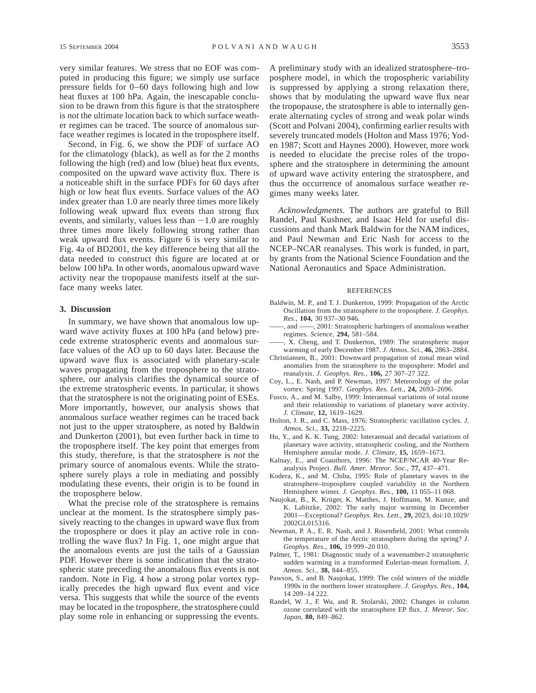very similar features. We stress that no EOF was computed in producing this figure; we simply use surface pressure fields for 0–60 days following high and low heat fluxes at 100 hPa. Again, the inescapable conclusion to be drawn from this figure is that the stratosphere is *not* the ultimate location back to which surface weather regimes can be traced. The source of anomalous surface weather regimes is located in the troposphere itself.

Second, in Fig. 6, we show the PDF of surface AO for the climatology (black), as well as for the 2 months following the high (red) and low (blue) heat flux events, composited on the upward wave activity flux. There is a noticeable shift in the surface PDFs for 60 days after high or low heat flux events. Surface values of the AO index greater than 1.0 are nearly three times more likely following weak upward flux events than strong flux events, and similarly, values less than  $-1.0$  are roughly three times more likely following strong rather than weak upward flux events. Figure 6 is very similar to Fig. 4a of BD2001, the key difference being that all the data needed to construct this figure are located at or below 100 hPa. In other words, anomalous upward wave activity near the tropopause manifests itself at the surface many weeks later.

### **3. Discussion**

In summary, we have shown that anomalous low upward wave activity fluxes at 100 hPa (and below) precede extreme stratospheric events and anomalous surface values of the AO up to 60 days later. Because the upward wave flux is associated with planetary-scale waves propagating from the troposphere to the stratosphere, our analysis clarifies the dynamical source of the extreme stratospheric events. In particular, it shows that the stratosphere is not the originating point of ESEs. More importantly, however, our analysis shows that anomalous surface weather regimes can be traced back not just to the upper stratosphere, as noted by Baldwin and Dunkerton (2001), but even further back in time to the troposphere itself. The key point that emerges from this study, therefore, is that the stratosphere is *not* the primary source of anomalous events. While the stratosphere surely plays a role in mediating and possibly modulating these events, their origin is to be found in the troposphere below.

What the precise role of the stratosphere is remains unclear at the moment. Is the stratosphere simply passively reacting to the changes in upward wave flux from the troposphere or does it play an active role in controlling the wave flux? In Fig. 1, one might argue that the anomalous events are just the tails of a Gaussian PDF. However there is some indication that the stratospheric state preceding the anomalous flux events is not random. Note in Fig. 4 how a strong polar vortex typically precedes the high upward flux event and vice versa. This suggests that while the source of the events may be located in the troposphere, the stratosphere could play some role in enhancing or suppressing the events.

A preliminary study with an idealized stratosphere–troposphere model, in which the tropospheric variability is suppressed by applying a strong relaxation there, shows that by modulating the upward wave flux near the tropopause, the stratosphere is able to internally generate alternating cycles of strong and weak polar winds (Scott and Polvani 2004), confirming earlier results with severely truncated models (Holton and Mass 1976; Yoden 1987; Scott and Haynes 2000). However, more work is needed to elucidate the precise roles of the troposphere and the stratosphere in determining the amount of upward wave activity entering the stratosphere, and thus the occurrence of anomalous surface weather regimes many weeks later.

*Acknowledgments.* The authors are grateful to Bill Randel, Paul Kushner, and Isaac Held for useful discussions and thank Mark Baldwin for the NAM indices, and Paul Newman and Eric Nash for access to the NCEP–NCAR reanalyses. This work is funded, in part, by grants from the National Science Foundation and the National Aeronautics and Space Administration.

### REFERENCES

- Baldwin, M. P., and T. J. Dunkerton, 1999: Propagation of the Arctic Oscillation from the stratosphere to the troposphere. *J. Geophys. Res.,* **104,** 30 937–30 946.
- ——, and ——, 2001: Stratospheric harbingers of anomalous weather regimes. *Science,* **294,** 581–584.
- ——, X. Cheng, and T. Dunkerton, 1989: The stratospheric major warming of early December 1987. *J. Atmos. Sci.,* **46,** 2863–2884.
- Christiansen, B., 2001: Downward propagation of zonal mean wind anomalies from the stratosphere to the troposphere: Model and reanalysis. *J. Geophys. Res.,* **106,** 27 307–27 322.
- Coy, L., E. Nash, and P. Newman, 1997: Meteorology of the polar vortex: Spring 1997. *Geophys. Res. Lett.,* **24,** 2693–2696.
- Fusco, A., and M. Salby, 1999: Interannual variations of total ozone and their relationship to variations of planetary wave activity. *J. Climate,* **12,** 1619–1629.
- Holton, J. R., and C. Mass, 1976: Stratospheric vacillation cycles. *J. Atmos. Sci.,* **33,** 2218–2225.
- Hu, Y., and K. K. Tung, 2002: Interannual and decadal variations of planetary wave activity, stratospheric cooling, and the Northern Hemisphere annular mode. *J. Climate,* **15,** 1659–1673.
- Kalnay, E., and Coauthors, 1996: The NCEP/NCAR 40-Year Reanalysis Project. *Bull. Amer. Meteor. Soc.,* **77,** 437–471.
- Kodera, K., and M. Chiba, 1995: Role of planetary waves in the stratosphere–troposphere coupled variability in the Northern Hemisphere winter. *J. Geophys. Res.,* **100,** 11 055–11 068.
- Naujokat, B., K. Krüger, K. Matthes, J. Hoffmann, M. Kunze, and K. Labitzke, 2002: The early major warming in December 2001—Exceptional? *Geophys. Res. Lett.,* **29,** 2023, doi:10.1029/ 2002GL015316.
- Newman, P. A., E. R. Nash, and J. Rosenfield, 2001: What controls the temperature of the Arctic stratosphere during the spring? *J. Geophys. Res.,* **106,** 19 999–20 010.
- Palmer, T., 1981: Diagnostic study of a wavenumber-2 stratospheric sudden warming in a transformed Eulerian-mean formalism. *J. Atmos. Sci.,* **38,** 844–855.
- Pawson, S., and B. Naujokat, 1999: The cold winters of the middle 1990s in the northern lower stratosphere. *J. Geophys. Res.,* **104,** 14 209–14 222.
- Randel, W. J., F. Wu, and R. Stolarski, 2002: Changes in column ozone correlated with the stratosphere EP flux. *J. Meteor. Soc. Japan,* **80,** 849–862.